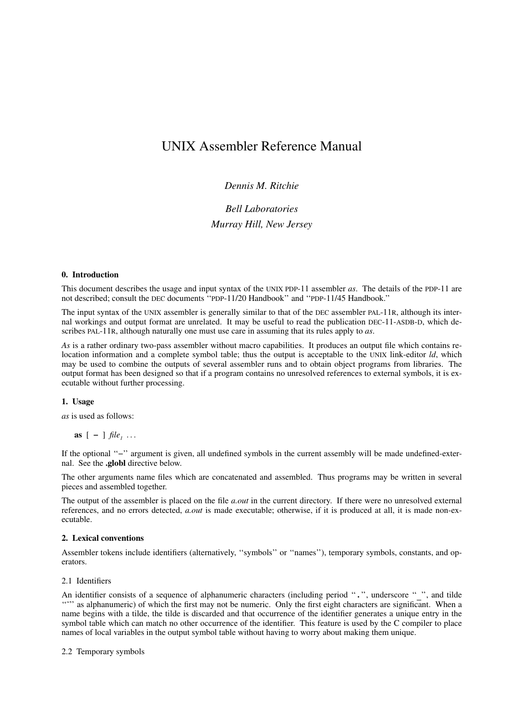# UNIX Assembler Reference Manual

## *Dennis M. Ritchie*

# *Bell Laboratories Murray Hill, New Jersey*

## **0. Introduction**

This document describes the usage and input syntax of the UNIX PDP-11 assembler *as*. The details of the PDP-11 are not described; consult the DEC documents ''PDP-11/20 Handbook'' and ''PDP-11/45 Handbook.''

The input syntax of the UNIX assembler is generally similar to that of the DEC assembler PAL-11R, although its internal workings and output format are unrelated. It may be useful to read the publication DEC-11-ASDB-D, which describes PAL-11R, although naturally one must use care in assuming that its rules apply to *as*.

*As* is a rather ordinary two-pass assembler without macro capabilities. It produces an output file which contains relocation information and a complete symbol table; thus the output is acceptable to the UNIX link-editor *ld*, which may be used to combine the outputs of several assembler runs and to obtain object programs from libraries. The output format has been designed so that if a program contains no unresolved references to external symbols, it is executable without further processing.

## **1. Usage**

*as* is used as follows:

## **as**  $[-]$  *file*<sub>*1*</sub> ...

If the optional "−" argument is given, all undefined symbols in the current assembly will be made undefined-external. See the **.globl** directive below.

The other arguments name files which are concatenated and assembled. Thus programs may be written in several pieces and assembled together.

The output of the assembler is placed on the file *a.out* in the current directory. If there were no unresolved external references, and no errors detected, *a.out* is made executable; otherwise, if it is produced at all, it is made non-executable.

## **2. Lexical conventions**

Assembler tokens include identifiers (alternatively, ''symbols'' or ''names''), temporary symbols, constants, and operators.

## 2.1 Identifiers

An identifier consists of a sequence of alphanumeric characters (including period ".", underscore "\_", and tilde "" as alphanumeric) of which the first may not be numeric. Only the first eight characters are significant. When a name begins with a tilde, the tilde is discarded and that occurrence of the identifier generates a unique entry in the symbol table which can match no other occurrence of the identifier. This feature is used by the C compiler to place names of local variables in the output symbol table without having to worry about making them unique.

#### 2.2 Temporary symbols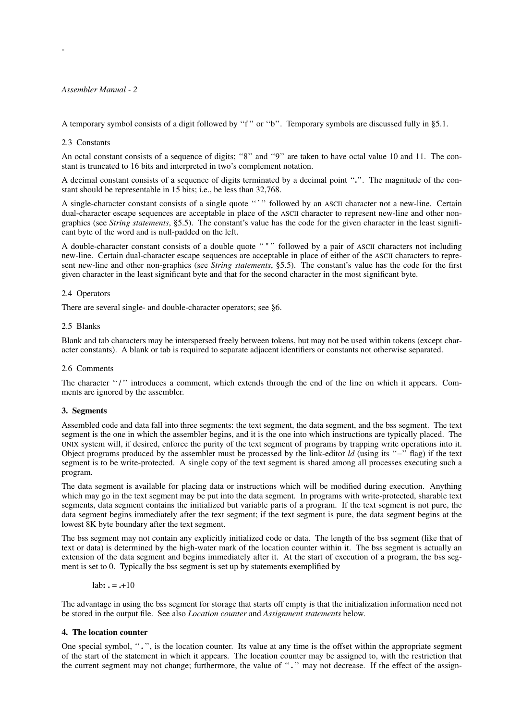A temporary symbol consists of a digit followed by "f" or "b". Temporary symbols are discussed fully in §5.1.

## 2.3 Constants

-

An octal constant consists of a sequence of digits; "8" and "9" are taken to have octal value 10 and 11. The constant is truncated to 16 bits and interpreted in two's complement notation.

A decimal constant consists of a sequence of digits terminated by a decimal point ''**.**''. The magnitude of the constant should be representable in 15 bits; i.e., be less than 32,768.

A single-character constant consists of a single quote "'" followed by an ASCII character not a new-line. Certain dual-character escape sequences are acceptable in place of the ASCII character to represent new-line and other nongraphics (see *String statements*, §5.5). The constant's value has the code for the given character in the least significant byte of the word and is null-padded on the left.

A double-character constant consists of a double quote ''"'' followed by a pair of ASCII characters not including new-line. Certain dual-character escape sequences are acceptable in place of either of the ASCII characters to represent new-line and other non-graphics (see *String statements*, §5.5). The constant's value has the code for the first given character in the least significant byte and that for the second character in the most significant byte.

## 2.4 Operators

There are several single- and double-character operators; see §6.

## 2.5 Blanks

Blank and tab characters may be interspersed freely between tokens, but may not be used within tokens (except character constants). A blank or tab is required to separate adjacent identifiers or constants not otherwise separated.

## 2.6 Comments

The character "/" introduces a comment, which extends through the end of the line on which it appears. Comments are ignored by the assembler.

## **3. Segments**

Assembled code and data fall into three segments: the text segment, the data segment, and the bss segment. The text segment is the one in which the assembler begins, and it is the one into which instructions are typically placed. The UNIX system will, if desired, enforce the purity of the text segment of programs by trapping write operations into it. Object programs produced by the assembler must be processed by the link-editor *ld* (using its ''−'' flag) if the text segment is to be write-protected. A single copy of the text segment is shared among all processes executing such a program.

The data segment is available for placing data or instructions which will be modified during execution. Anything which may go in the text segment may be put into the data segment. In programs with write-protected, sharable text segments, data segment contains the initialized but variable parts of a program. If the text segment is not pure, the data segment begins immediately after the text segment; if the text segment is pure, the data segment begins at the lowest 8K byte boundary after the text segment.

The bss segment may not contain any explicitly initialized code or data. The length of the bss segment (like that of text or data) is determined by the high-water mark of the location counter within it. The bss segment is actually an extension of the data segment and begins immediately after it. At the start of execution of a program, the bss segment is set to 0. Typically the bss segment is set up by statements exemplified by

$$
\text{lab:} \cdot = \cdot + 10
$$

The advantage in using the bss segment for storage that starts off empty is that the initialization information need not be stored in the output file. See also *Location counter* and *Assignment statements* below.

## **4. The location counter**

One special symbol, "**.**", is the location counter. Its value at any time is the offset within the appropriate segment of the start of the statement in which it appears. The location counter may be assigned to, with the restriction that the current segment may not change; furthermore, the value of '' **.** '' may not decrease. If the effect of the assign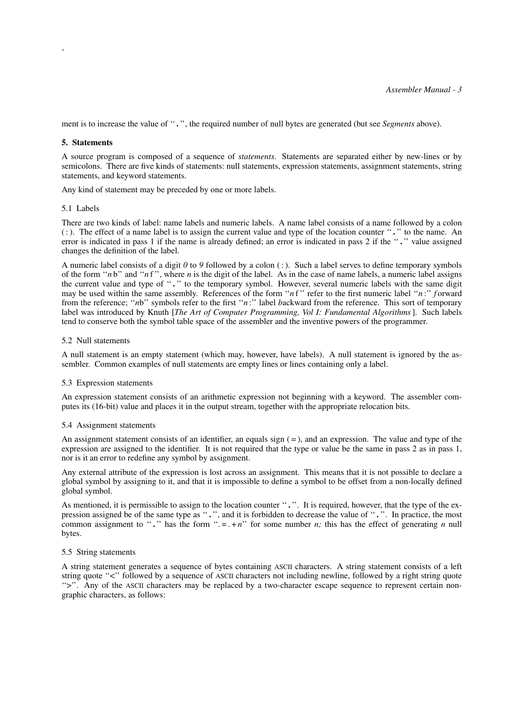ment is to increase the value of "...", the required number of null bytes are generated (but see *Segments* above).

#### **5. Statements**

-

A source program is composed of a sequence of *statements*. Statements are separated either by new-lines or by semicolons. There are five kinds of statements: null statements, expression statements, assignment statements, string statements, and keyword statements.

Any kind of statement may be preceded by one or more labels.

#### 5.1 Labels

There are two kinds of label: name labels and numeric labels. A name label consists of a name followed by a colon (:). The effect of a name label is to assign the current value and type of the location counter '' **.** '' to the name. An error is indicated in pass 1 if the name is already defined; an error is indicated in pass 2 if the '' **.** '' value assigned changes the definition of the label.

A numeric label consists of a digit *0* to *9* followed by a colon ( : ). Such a label serves to define temporary symbols of the form ''*n* b'' and ''*n* f '', where *n* is the digit of the label. As in the case of name labels, a numeric label assigns the current value and type of "." to the temporary symbol. However, several numeric labels with the same digit may be used within the same assembly. References of the form "*n* f" refer to the first numeric label "*n*:" *f* orward from the reference; ''*n*b'' symbols refer to the first ''*n* :'' label *b*ackward from the reference. This sort of temporary label was introduced by Knuth [*The Art of Computer Programming, Vol I: Fundamental Algorithms*]. Such labels tend to conserve both the symbol table space of the assembler and the inventive powers of the programmer.

#### 5.2 Null statements

A null statement is an empty statement (which may, however, have labels). A null statement is ignored by the assembler. Common examples of null statements are empty lines or lines containing only a label.

#### 5.3 Expression statements

An expression statement consists of an arithmetic expression not beginning with a keyword. The assembler computes its (16-bit) value and places it in the output stream, together with the appropriate relocation bits.

## 5.4 Assignment statements

An assignment statement consists of an identifier, an equals sign  $( = )$ , and an expression. The value and type of the expression are assigned to the identifier. It is not required that the type or value be the same in pass 2 as in pass 1, nor is it an error to redefine any symbol by assignment.

Any external attribute of the expression is lost across an assignment. This means that it is not possible to declare a global symbol by assigning to it, and that it is impossible to define a symbol to be offset from a non-locally defined global symbol.

As mentioned, it is permissible to assign to the location counter ".". It is required, however, that the type of the expression assigned be of the same type as '' **.** '', and it is forbidden to decrease the value of '' **.** ''. In practice, the most common assignment to " $\cdot$ " has the form " $\cdot = +n$ " for some number *n*; this has the effect of generating *n* null bytes.

## 5.5 String statements

A string statement generates a sequence of bytes containing ASCII characters. A string statement consists of a left string quote "<" followed by a sequence of ASCII characters not including newline, followed by a right string quote ''>''. Any of the ASCII characters may be replaced by a two-character escape sequence to represent certain nongraphic characters, as follows: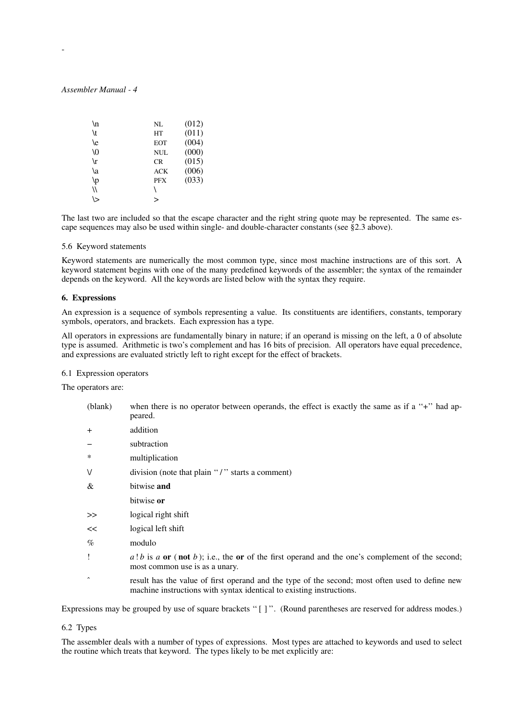| ۱n         | NL         | (012) |
|------------|------------|-------|
| \t         | HT         | (011) |
| ١e         | <b>EOT</b> | (004) |
| $\sqrt{0}$ | NUL        | (000) |
| ۱r         | <b>CR</b>  | (015) |
| ١a         | <b>ACK</b> | (006) |
| \p         | <b>PFX</b> | (033) |
| 11         |            |       |
| い          | ↘          |       |

The last two are included so that the escape character and the right string quote may be represented. The same escape sequences may also be used within single- and double-character constants (see §2.3 above).

#### 5.6 Keyword statements

Keyword statements are numerically the most common type, since most machine instructions are of this sort. A keyword statement begins with one of the many predefined keywords of the assembler; the syntax of the remainder depends on the keyword. All the keywords are listed below with the syntax they require.

## **6. Expressions**

An expression is a sequence of symbols representing a value. Its constituents are identifiers, constants, temporary symbols, operators, and brackets. Each expression has a type.

All operators in expressions are fundamentally binary in nature; if an operand is missing on the left, a 0 of absolute type is assumed. Arithmetic is two's complement and has 16 bits of precision. All operators have equal precedence, and expressions are evaluated strictly left to right except for the effect of brackets.

## 6.1 Expression operators

The operators are:

| (blank)             | when there is no operator between operands, the effect is exactly the same as if a "+" had ap-<br>peared.                                                               |
|---------------------|-------------------------------------------------------------------------------------------------------------------------------------------------------------------------|
| $\ddot{}$           | addition                                                                                                                                                                |
|                     | subtraction                                                                                                                                                             |
| ∗                   | multiplication                                                                                                                                                          |
| V                   | division (note that plain "/" starts a comment)                                                                                                                         |
| &                   | bitwise and                                                                                                                                                             |
|                     | bitwise or                                                                                                                                                              |
| $>\!>$              | logical right shift                                                                                                                                                     |
| <<                  | logical left shift                                                                                                                                                      |
| $\%$                | modulo                                                                                                                                                                  |
|                     | $a!b$ is a <b>or</b> ( <b>not</b> b); i.e., the <b>or</b> of the first operand and the one's complement of the second;<br>most common use is as a unary.                |
| $\hat{\phantom{a}}$ | result has the value of first operand and the type of the second; most often used to define new<br>machine instructions with syntax identical to existing instructions. |

Expressions may be grouped by use of square brackets "[]". (Round parentheses are reserved for address modes.)

## 6.2 Types

The assembler deals with a number of types of expressions. Most types are attached to keywords and used to select the routine which treats that keyword. The types likely to be met explicitly are: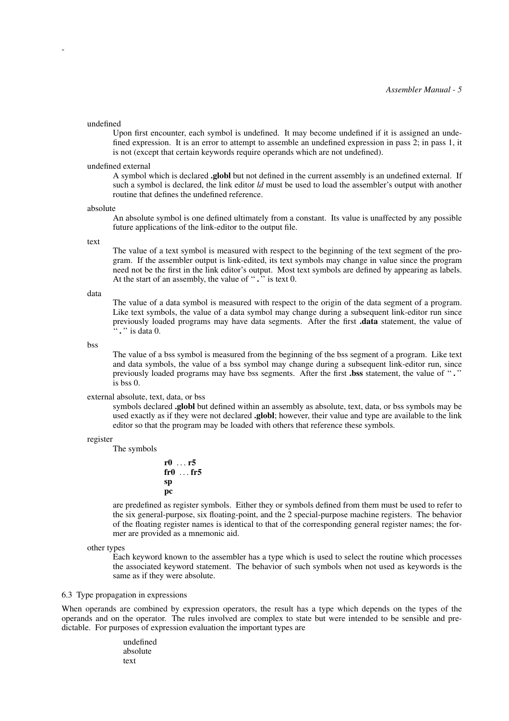#### undefined

-

Upon first encounter, each symbol is undefined. It may become undefined if it is assigned an undefined expression. It is an error to attempt to assemble an undefined expression in pass 2; in pass 1, it is not (except that certain keywords require operands which are not undefined).

#### undefined external

A symbol which is declared **.globl** but not defined in the current assembly is an undefined external. If such a symbol is declared, the link editor *ld* must be used to load the assembler's output with another routine that defines the undefined reference.

absolute

An absolute symbol is one defined ultimately from a constant. Its value is unaffected by any possible future applications of the link-editor to the output file.

#### text

The value of a text symbol is measured with respect to the beginning of the text segment of the program. If the assembler output is link-edited, its text symbols may change in value since the program need not be the first in the link editor's output. Most text symbols are defined by appearing as labels. At the start of an assembly, the value of " $\cdot \cdot$ " is text 0.

#### data

The value of a data symbol is measured with respect to the origin of the data segment of a program. Like text symbols, the value of a data symbol may change during a subsequent link-editor run since previously loaded programs may have data segments. After the first **.data** statement, the value of '' **.** '' is data 0.

bss

The value of a bss symbol is measured from the beginning of the bss segment of a program. Like text and data symbols, the value of a bss symbol may change during a subsequent link-editor run, since previously loaded programs may have bss segments. After the first **.bss** statement, the value of '' **.** '' is bss 0.

external absolute, text, data, or bss

symbols declared **.globl** but defined within an assembly as absolute, text, data, or bss symbols may be used exactly as if they were not declared **.globl**; however, their value and type are available to the link editor so that the program may be loaded with others that reference these symbols.

register

The symbols

**r0** ... **r5 fr0** ... **fr5 sp pc**

are predefined as register symbols. Either they or symbols defined from them must be used to refer to the six general-purpose, six floating-point, and the 2 special-purpose machine registers. The behavior of the floating register names is identical to that of the corresponding general register names; the former are provided as a mnemonic aid.

other types

Each keyword known to the assembler has a type which is used to select the routine which processes the associated keyword statement. The behavior of such symbols when not used as keywords is the same as if they were absolute.

#### 6.3 Type propagation in expressions

When operands are combined by expression operators, the result has a type which depends on the types of the operands and on the operator. The rules involved are complex to state but were intended to be sensible and predictable. For purposes of expression evaluation the important types are

> undefined absolute text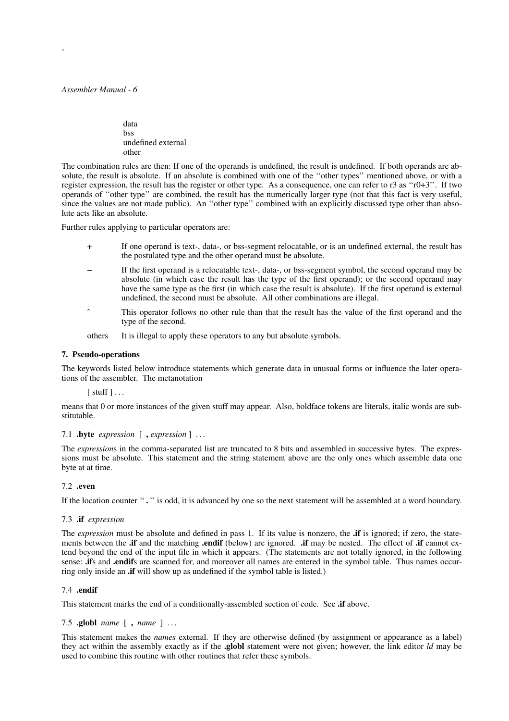-

data hee undefined external other

The combination rules are then: If one of the operands is undefined, the result is undefined. If both operands are absolute, the result is absolute. If an absolute is combined with one of the ''other types'' mentioned above, or with a register expression, the result has the register or other type. As a consequence, one can refer to r3 as ''r0+3''. If two operands of ''other type'' are combined, the result has the numerically larger type (not that this fact is very useful, since the values are not made public). An ''other type'' combined with an explicitly discussed type other than absolute acts like an absolute.

Further rules applying to particular operators are:

- + If one operand is text-, data-, or bss-segment relocatable, or is an undefined external, the result has the postulated type and the other operand must be absolute.
- If the first operand is a relocatable text-, data-, or bss-segment symbol, the second operand may be absolute (in which case the result has the type of the first operand); or the second operand may have the same type as the first (in which case the result is absolute). If the first operand is external undefined, the second must be absolute. All other combinations are illegal.
- This operator follows no other rule than that the result has the value of the first operand and the type of the second.
- others It is illegal to apply these operators to any but absolute symbols.

#### **7. Pseudo-operations**

The keywords listed below introduce statements which generate data in unusual forms or influence the later operations of the assembler. The metanotation

 $[$  stuff  $]$ ...

means that 0 or more instances of the given stuff may appear. Also, boldface tokens are literals, italic words are substitutable.

## 7.1 **.byte** *expression* [ **,** *expression* ] . . .

The *expression*s in the comma-separated list are truncated to 8 bits and assembled in successive bytes. The expressions must be absolute. This statement and the string statement above are the only ones which assemble data one byte at at time.

#### 7.2 **.even**

If the location counter '' **.** '' is odd, it is advanced by one so the next statement will be assembled at a word boundary.

## 7.3 **.if** *expression*

The *expression* must be absolute and defined in pass 1. If its value is nonzero, the **.if** is ignored; if zero, the statements between the **.if** and the matching **.endif** (below) are ignored. **.if** may be nested. The effect of **.if** cannot extend beyond the end of the input file in which it appears. (The statements are not totally ignored, in the following sense: **.if**s and **.endif**s are scanned for, and moreover all names are entered in the symbol table. Thus names occurring only inside an **.if** will show up as undefined if the symbol table is listed.)

#### 7.4 **.endif**

This statement marks the end of a conditionally-assembled section of code. See **.if** above.

## 7.5 **.globl** *name* [ **,** *name* ] . . .

This statement makes the *names* external. If they are otherwise defined (by assignment or appearance as a label) they act within the assembly exactly as if the **.globl** statement were not given; however, the link editor *ld* may be used to combine this routine with other routines that refer these symbols.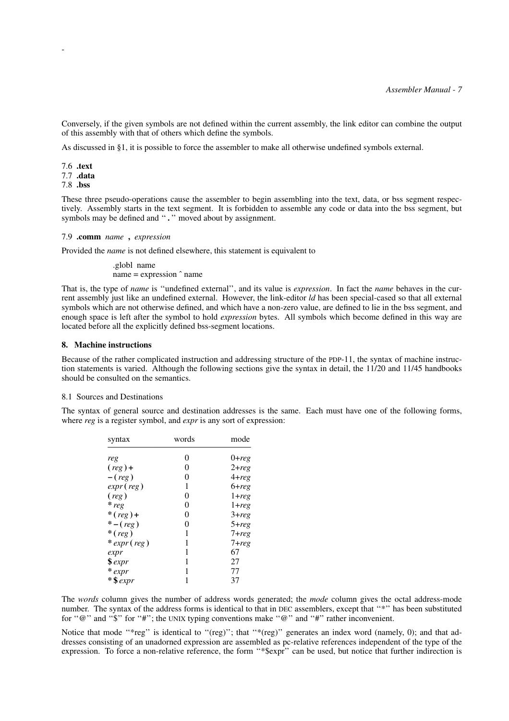Conversely, if the given symbols are not defined within the current assembly, the link editor can combine the output of this assembly with that of others which define the symbols.

As discussed in §1, it is possible to force the assembler to make all otherwise undefined symbols external.

7.6 **.text** 7.7 **.data** 7.8 **.bss**

-

These three pseudo-operations cause the assembler to begin assembling into the text, data, or bss segment respectively. Assembly starts in the text segment. It is forbidden to assemble any code or data into the bss segment, but symbols may be defined and "." moved about by assignment.

#### 7.9 **.comm** *name* **,** *expression*

Provided the *name* is not defined elsewhere, this statement is equivalent to

.globl name name = expression ˆ name

That is, the type of *name* is ''undefined external'', and its value is *expression*. In fact the *name* behaves in the current assembly just like an undefined external. However, the link-editor *ld* has been special-cased so that all external symbols which are not otherwise defined, and which have a non-zero value, are defined to lie in the bss segment, and enough space is left after the symbol to hold *expression* bytes. All symbols which become defined in this way are located before all the explicitly defined bss-segment locations.

#### **8. Machine instructions**

Because of the rather complicated instruction and addressing structure of the PDP-11, the syntax of machine instruction statements is varied. Although the following sections give the syntax in detail, the 11/20 and 11/45 handbooks should be consulted on the semantics.

## 8.1 Sources and Destinations

The syntax of general source and destination addresses is the same. Each must have one of the following forms, where *reg* is a register symbol, and *expr* is any sort of expression:

| syntax             | words | mode      |
|--------------------|-------|-----------|
| reg                | 0     | $0+reg$   |
| $(\text{reg})+$    | 0     | $2+reg$   |
| $-(reg)$           | 0     | $4+reg$   |
| $expr(\text{reg})$ | 1     | $6 + reg$ |
| $(\text{reg})$     | 0     | $1+reg$   |
| $*reg$             | 0     | $1+reg$   |
| * $(reg) +$        | 0     | $3+reg$   |
| * $-(reg)$         | 0     | $5+reg$   |
| $*(reg)$           | 1     | $7+reg$   |
| $*$ expr(reg)      | 1     | $7+reg$   |
| expr               | 1     | 67        |
| $\sqrt{$expr}$$    | 1     | 27        |
| $*$ expr           | 1     | 77        |
| $*$ \$expr         |       | 37        |

The *words* column gives the number of address words generated; the *mode* column gives the octal address-mode number. The syntax of the address forms is identical to that in DEC assemblers, except that "\*" has been substituted for " $@$ " and " $\$$ " for " $#$ "; the UNIX typing conventions make " $@$ " and " $#$ " rather inconvenient.

Notice that mode "\*reg" is identical to "(reg)"; that "\*(reg)" generates an index word (namely, 0); and that addresses consisting of an unadorned expression are assembled as pc-relative references independent of the type of the expression. To force a non-relative reference, the form ''\*\$expr'' can be used, but notice that further indirection is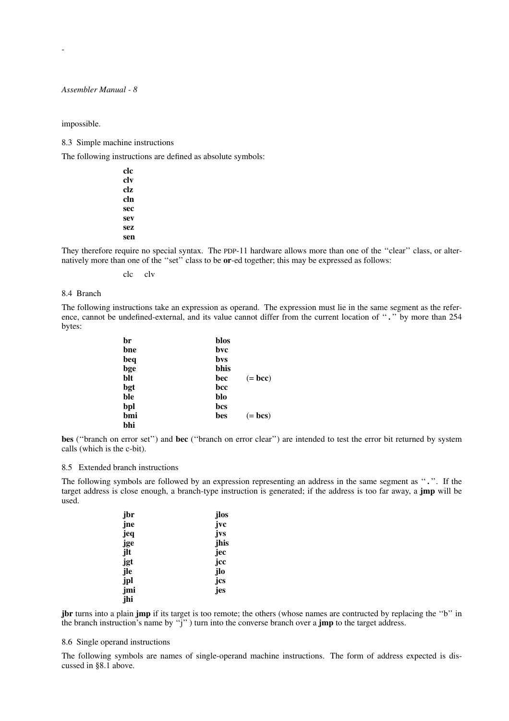impossible.

-

8.3 Simple machine instructions

The following instructions are defined as absolute symbols:

**clc clv clz cln sec sev sez sen**

They therefore require no special syntax. The PDP-11 hardware allows more than one of the ''clear'' class, or alternatively more than one of the ''set'' class to be **or**-ed together; this may be expressed as follows:

 $clc$   $|$   $clv$ 

#### 8.4 Branch

The following instructions take an expression as operand. The expression must lie in the same segment as the reference, cannot be undefined-external, and its value cannot differ from the current location of "." by more than 254 bytes:

| br  | blos |           |
|-----|------|-----------|
| bne | bvc  |           |
| beq | bys  |           |
| bge | bhis |           |
| blt | bec  | $(= bcc)$ |
| bgt | bcc  |           |
| ble | blo  |           |
| bpl | bcs  |           |
| bmi | bes  | $(= bcs)$ |
| bhi |      |           |

**bes** (''branch on error set'') and **bec** (''branch on error clear'') are intended to test the error bit returned by system calls (which is the c-bit).

#### 8.5 Extended branch instructions

The following symbols are followed by an expression representing an address in the same segment as ".". If the target address is close enough, a branch-type instruction is generated; if the address is too far away, a **jmp** will be used.

| jbr | jlos |
|-----|------|
| jne | jvc  |
| jeq | jvs  |
| jge | jhis |
| jlt | jec  |
| jgt | jcc  |
| jle | jlo  |
| jpl | jcs  |
| jmi | jes  |
| jhi |      |

**jbr** turns into a plain **jmp** if its target is too remote; the others (whose names are contructed by replacing the "b" in the branch instruction's name by ''j'') turn into the converse branch over a **jmp** to the target address.

## 8.6 Single operand instructions

The following symbols are names of single-operand machine instructions. The form of address expected is discussed in §8.1 above.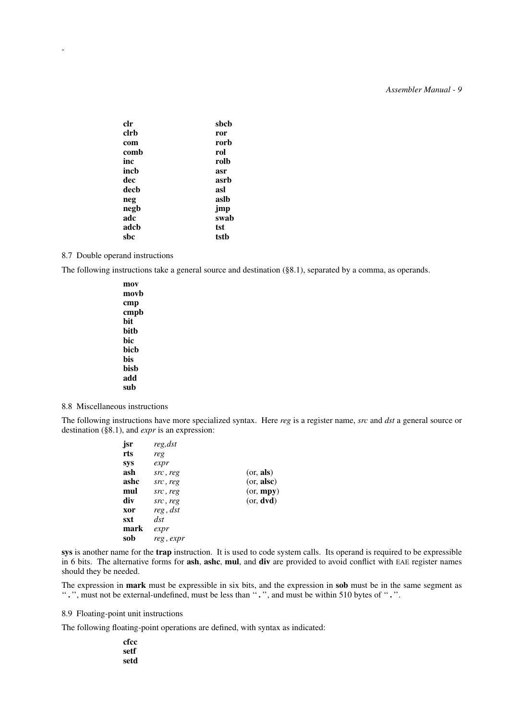| shch |
|------|
| ror  |
| rorb |
| rol  |
| rolb |
| asr  |
| asrb |
| asl  |
| aslb |
| jmp  |
| swab |
| tst  |
| tstb |
|      |

8.7 Double operand instructions

-

The following instructions take a general source and destination  $(\S 8.1)$ , separated by a comma, as operands.

**mov movb cmp cmpb bit bitb bic bicb bis bisb add sub**

8.8 Miscellaneous instructions

The following instructions have more specialized syntax. Here *reg* is a register name, *src* and *dst* a general source or destination (§8.1), and *expr* is an expression:

| jsr        | reg, dst  |                    |
|------------|-----------|--------------------|
| rts        | reg       |                    |
| <b>SVS</b> | expr      |                    |
| ash        | src, reg  | (or, <b>als</b> )  |
| ashc       | src, reg  | (or, <b>also</b> ) |
| mul        | src, reg  | $($ or, mpy $)$    |
| div        | src, reg  | (or, dvd)          |
| xor        | reg, dst  |                    |
| sxt        | $\,dst$   |                    |
| mark       | expr      |                    |
| sob        | reg, expr |                    |
|            |           |                    |

**sys** is another name for the **trap** instruction. It is used to code system calls. Its operand is required to be expressible in 6 bits. The alternative forms for **ash**, **ashc**, **mul**, and **div** are provided to avoid conflict with EAE register names should they be needed.

The expression in **mark** must be expressible in six bits, and the expression in **sob** must be in the same segment as '' **.** '', must not be external-undefined, must be less than '' **.** '', and must be within 510 bytes of '' **.** ''.

8.9 Floating-point unit instructions

The following floating-point operations are defined, with syntax as indicated:

**cfcc setf setd**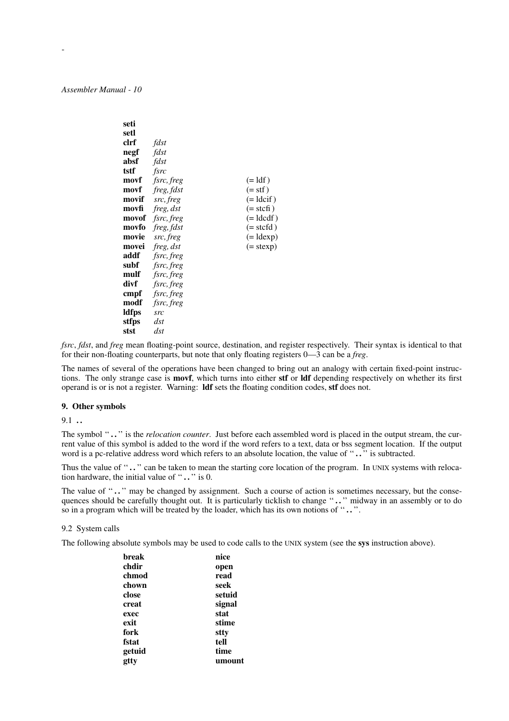-

| seti  |                   |                    |
|-------|-------------------|--------------------|
| setl  |                   |                    |
| clrf  | fdst              |                    |
| negf  | fdst              |                    |
| absf  | fdst              |                    |
| tstf  | fsrc              |                    |
| movf  | fsrc, freg        | $(=\mathrm{ldf})$  |
| movf  | <i>freg, fdst</i> | $(=$ stf)          |
| movif | src, freg         | $(=$ ldcif)        |
| movfi | <i>freg, dst</i>  | $(=\text{stcf}$    |
| movof | fsrc, freg        | $(=$ ldcdf $)$     |
| movfo | freg, fdst        | $(= \text{stcfd})$ |
| movie | src, freg         | $(=\text{ldexp})$  |
| movei | freg, dst         | $(=$ stexp)        |
| addf  | fsrc, freg        |                    |
| subf  | <i>fsrc, freg</i> |                    |
| mulf  | fsrc, freg        |                    |
| divf  | fsrc, freg        |                    |
| cmpf  | fsrc, freg        |                    |
| modf  | fsrc, freg        |                    |
| ldfps | src               |                    |
| stfps | $\,$ dst          |                    |
| stst  | $\,$ dst          |                    |
|       |                   |                    |

*fsrc*, *fdst*, and *freg* mean floating-point source, destination, and register respectively. Their syntax is identical to that for their non-floating counterparts, but note that only floating registers 0—3 can be a *freg*.

The names of several of the operations have been changed to bring out an analogy with certain fixed-point instructions. The only strange case is **movf**, which turns into either **stf** or **ldf** depending respectively on whether its first operand is or is not a register. Warning: **ldf** sets the floating condition codes, **stf** does not.

## **9. Other symbols**

9.1 **. .**

The symbol ".." is the *relocation counter*. Just before each assembled word is placed in the output stream, the current value of this symbol is added to the word if the word refers to a text, data or bss segment location. If the output word is a pc-relative address word which refers to an absolute location, the value of "..." is subtracted.

Thus the value of "..." can be taken to mean the starting core location of the program. In UNIX systems with relocation hardware, the initial value of '' **. .** '' is 0.

The value of "..." may be changed by assignment. Such a course of action is sometimes necessary, but the consequences should be carefully thought out. It is particularly ticklish to change ".." midway in an assembly or to do so in a program which will be treated by the loader, which has its own notions of '' **. .** ''.

## 9.2 System calls

The following absolute symbols may be used to code calls to the UNIX system (see the **sys** instruction above).

| break  | nice   |
|--------|--------|
| chdir  | open   |
| chmod  | read   |
| chown  | seek   |
| close  | setuid |
| creat  | signal |
| exec   | stat   |
| exit   | stime  |
| fork   | stty   |
| fstat  | tell   |
| getuid | time   |
| gtty   | umoun  |